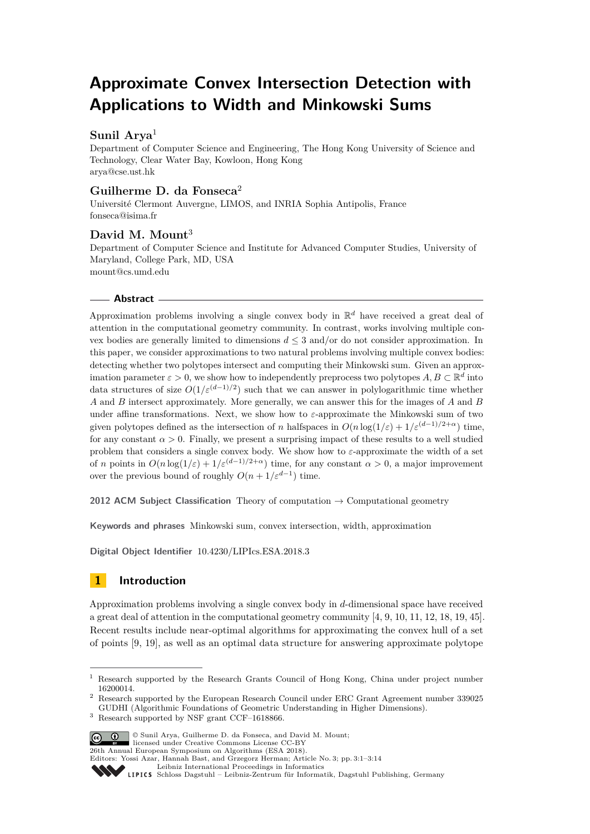# **Approximate Convex Intersection Detection with Applications to Width and Minkowski Sums**

# **Sunil Arya**<sup>1</sup>

Department of Computer Science and Engineering, The Hong Kong University of Science and Technology, Clear Water Bay, Kowloon, Hong Kong [arya@cse.ust.hk](mailto:arya@cse.ust.hk)

# **Guilherme D. da Fonseca**<sup>2</sup>

Université Clermont Auvergne, LIMOS, and INRIA Sophia Antipolis, France [fonseca@isima.fr](mailto:fonseca@isima.fr)

# **David M. Mount**<sup>3</sup>

Department of Computer Science and Institute for Advanced Computer Studies, University of Maryland, College Park, MD, USA [mount@cs.umd.edu](mailto:mount@cs.umd.edu)

## **Abstract**

Approximation problems involving a single convex body in R *<sup>d</sup>* have received a great deal of attention in the computational geometry community. In contrast, works involving multiple convex bodies are generally limited to dimensions  $d \leq 3$  and/or do not consider approximation. In this paper, we consider approximations to two natural problems involving multiple convex bodies: detecting whether two polytopes intersect and computing their Minkowski sum. Given an approximation parameter  $\varepsilon > 0$ , we show how to independently preprocess two polytopes  $A, B \subset \mathbb{R}^d$  into data structures of size  $O(1/\varepsilon^{(d-1)/2})$  such that we can answer in polylogarithmic time whether *A* and *B* intersect approximately. More generally, we can answer this for the images of *A* and *B* under affine transformations. Next, we show how to *ε*-approximate the Minkowski sum of two given polytopes defined as the intersection of *n* halfspaces in  $O(n \log(1/\varepsilon) + 1/\varepsilon^{(d-1)/2+\alpha})$  time, for any constant  $\alpha > 0$ . Finally, we present a surprising impact of these results to a well studied problem that considers a single convex body. We show how to *ε*-approximate the width of a set of *n* points in  $O(n \log(1/\varepsilon) + 1/\varepsilon^{(d-1)/2+\alpha})$  time, for any constant  $\alpha > 0$ , a major improvement over the previous bound of roughly  $O(n + 1/\varepsilon^{d-1})$  time.

**2012 ACM Subject Classification** Theory of computation → Computational geometry

**Keywords and phrases** Minkowski sum, convex intersection, width, approximation

**Digital Object Identifier** [10.4230/LIPIcs.ESA.2018.3](http://dx.doi.org/10.4230/LIPIcs.ESA.2018.3)

# **1 Introduction**

Approximation problems involving a single convex body in *d*-dimensional space have received a great deal of attention in the computational geometry community [\[4,](#page-12-0) [9,](#page-12-1) [10,](#page-12-2) [11,](#page-12-3) [12,](#page-12-4) [18,](#page-12-5) [19,](#page-12-6) [45\]](#page-13-0). Recent results include near-optimal algorithms for approximating the convex hull of a set of points [\[9,](#page-12-1) [19\]](#page-12-6), as well as an optimal data structure for answering approximate polytope

<sup>3</sup> Research supported by NSF grant CCF–1618866.



© Sunil Arya, Guilherme D. da Fonseca, and David M. Mount; licensed under Creative Commons License CC-BY

26th Annual European Symposium on Algorithms (ESA 2018).

<sup>&</sup>lt;sup>1</sup> Research supported by the Research Grants Council of Hong Kong, China under project number 16200014.

<sup>2</sup> Research supported by the European Research Council under ERC Grant Agreement number 339025 GUDHI (Algorithmic Foundations of Geometric Understanding in Higher Dimensions).

Editors: Yossi Azar, Hannah Bast, and Grzegorz Herman; Article No. 3; pp. 3:1–3[:14](#page-13-1) [Leibniz International Proceedings in Informatics](http://www.dagstuhl.de/lipics/)

Leibniz International Froceedings in Informatik, Dagstuhl Publishing, Germany<br>LIPICS [Schloss Dagstuhl – Leibniz-Zentrum für Informatik, Dagstuhl Publishing, Germany](http://www.dagstuhl.de)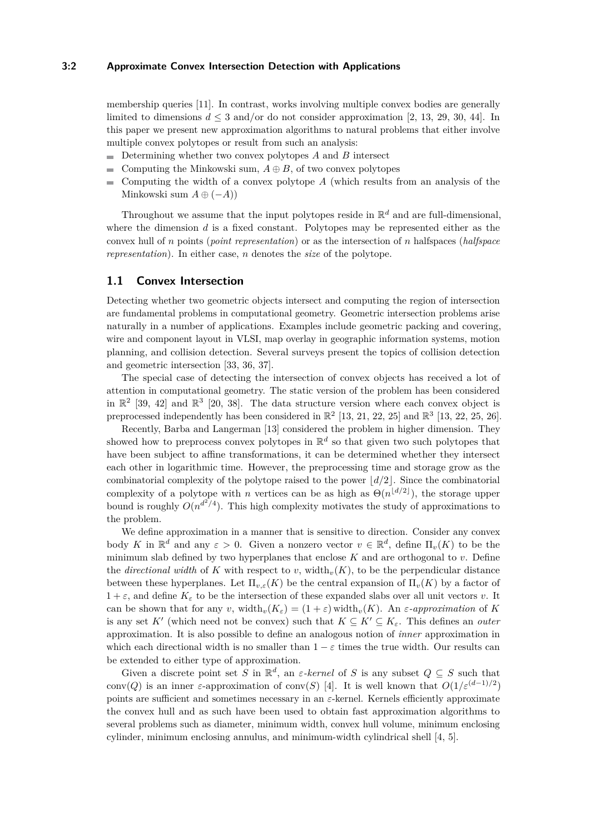## **3:2 Approximate Convex Intersection Detection with Applications**

membership queries [\[11\]](#page-12-3). In contrast, works involving multiple convex bodies are generally limited to dimensions  $d \leq 3$  and/or do not consider approximation [\[2,](#page-11-0) [13,](#page-12-7) [29,](#page-13-2) [30,](#page-13-3) [44\]](#page-13-4). In this paper we present new approximation algorithms to natural problems that either involve multiple convex polytopes or result from such an analysis:

- Determining whether two convex polytopes *A* and *B* intersect
- Computing the Minkowski sum,  $A \oplus B$ , of two convex polytopes  $\blacksquare$
- Computing the width of a convex polytope *A* (which results from an analysis of the  $\rightarrow$ Minkowski sum  $A \oplus (-A)$

Throughout we assume that the input polytopes reside in  $\mathbb{R}^d$  and are full-dimensional, where the dimension *d* is a fixed constant. Polytopes may be represented either as the convex hull of *n* points (*point representation*) or as the intersection of *n* halfspaces (*halfspace representation*). In either case, *n* denotes the *size* of the polytope.

## **1.1 Convex Intersection**

Detecting whether two geometric objects intersect and computing the region of intersection are fundamental problems in computational geometry. Geometric intersection problems arise naturally in a number of applications. Examples include geometric packing and covering, wire and component layout in VLSI, map overlay in geographic information systems, motion planning, and collision detection. Several surveys present the topics of collision detection and geometric intersection [\[33,](#page-13-5) [36,](#page-13-6) [37\]](#page-13-7).

The special case of detecting the intersection of convex objects has received a lot of attention in computational geometry. The static version of the problem has been considered in  $\mathbb{R}^2$  [\[39,](#page-13-8) [42\]](#page-13-9) and  $\mathbb{R}^3$  [\[20,](#page-12-8) [38\]](#page-13-10). The data structure version where each convex object is preprocessed independently has been considered in  $\mathbb{R}^2$  [\[13,](#page-12-7) [21,](#page-12-9) [22,](#page-12-10) [25\]](#page-12-11) and  $\mathbb{R}^3$  [13, 22, [25,](#page-12-11) [26\]](#page-13-11).

Recently, Barba and Langerman [\[13\]](#page-12-7) considered the problem in higher dimension. They showed how to preprocess convex polytopes in  $\mathbb{R}^d$  so that given two such polytopes that have been subject to affine transformations, it can be determined whether they intersect each other in logarithmic time. However, the preprocessing time and storage grow as the combinatorial complexity of the polytope raised to the power  $\lfloor d/2 \rfloor$ . Since the combinatorial complexity of a polytope with *n* vertices can be as high as  $\Theta(n^{\lfloor d/2 \rfloor})$ , the storage upper bound is roughly  $O(n^{d^2/4})$ . This high complexity motivates the study of approximations to the problem.

We define approximation in a manner that is sensitive to direction. Consider any convex body *K* in  $\mathbb{R}^d$  and any  $\varepsilon > 0$ . Given a nonzero vector  $v \in \mathbb{R}^d$ , define  $\Pi_v(K)$  to be the minimum slab defined by two hyperplanes that enclose *K* and are orthogonal to *v*. Define the *directional width* of *K* with respect to *v*, width<sub>*v*</sub>(*K*), to be the perpendicular distance between these hyperplanes. Let  $\Pi_{v,\varepsilon}(K)$  be the central expansion of  $\Pi_v(K)$  by a factor of  $1 + \varepsilon$ , and define  $K_{\varepsilon}$  to be the intersection of these expanded slabs over all unit vectors *v*. It can be shown that for any *v*, width<sub>*v*</sub>( $K_{\varepsilon}$ ) = (1+ $\varepsilon$ ) width<sub>*v*</sub>( $K$ ). An  $\varepsilon$ -approximation of  $K$ is any set *K'* (which need not be convex) such that  $K \subseteq K' \subseteq K_{\varepsilon}$ . This defines an *outer* approximation. It is also possible to define an analogous notion of *inner* approximation in which each directional width is no smaller than  $1 - \varepsilon$  times the true width. Our results can be extended to either type of approximation.

Given a discrete point set *S* in  $\mathbb{R}^d$ , an *ε*-kernel of *S* is any subset  $Q \subseteq S$  such that conv(*Q*) is an inner *ε*-approximation of conv(*S*) [\[4\]](#page-12-0). It is well known that  $O(1/\varepsilon^{(d-1)/2})$ points are sufficient and sometimes necessary in an *ε*-kernel. Kernels efficiently approximate the convex hull and as such have been used to obtain fast approximation algorithms to several problems such as diameter, minimum width, convex hull volume, minimum enclosing cylinder, minimum enclosing annulus, and minimum-width cylindrical shell [\[4,](#page-12-0) [5\]](#page-12-12).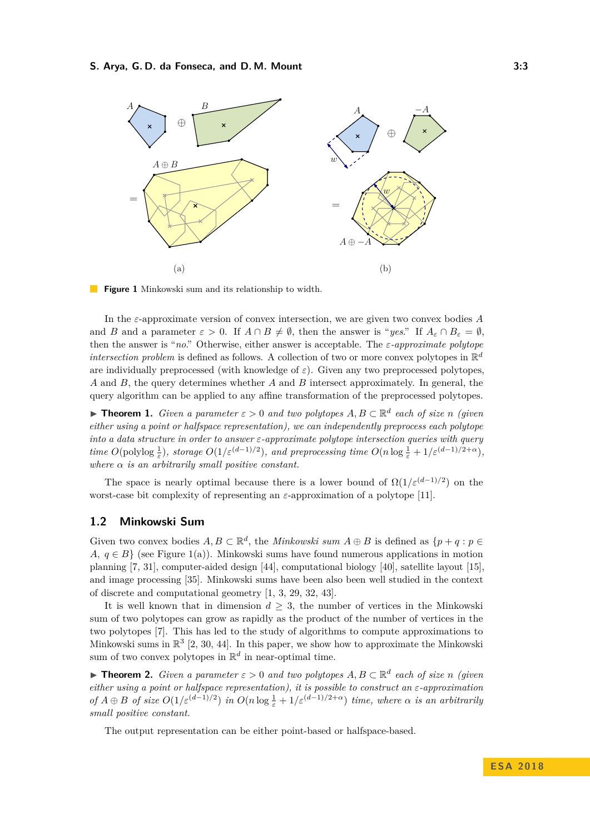<span id="page-2-0"></span>

**Figure 1** Minkowski sum and its relationship to width.

In the *ε*-approximate version of convex intersection, we are given two convex bodies *A* and *B* and a parameter  $\varepsilon > 0$ . If  $A \cap B \neq \emptyset$ , then the answer is "*yes*." If  $A_{\varepsilon} \cap B_{\varepsilon} = \emptyset$ , then the answer is "*no*." Otherwise, either answer is acceptable. The *ε-approximate polytope intersection problem* is defined as follows. A collection of two or more convex polytopes in R *d* are individually preprocessed (with knowledge of  $\varepsilon$ ). Given any two preprocessed polytopes, *A* and *B*, the query determines whether *A* and *B* intersect approximately. In general, the query algorithm can be applied to any affine transformation of the preprocessed polytopes.

<span id="page-2-2"></span>**► Theorem 1.** *Given a parameter*  $\varepsilon > 0$  *and two polytopes*  $A, B \subset \mathbb{R}^d$  *each of size n* (given *either using a point or halfspace representation), we can independently preprocess each polytope into a data structure in order to answer ε-approximate polytope intersection queries with query time*  $O(\text{polylog} \frac{1}{\varepsilon})$ *, storage*  $O(1/\varepsilon^{(d-1)/2})$ *, and preprocessing time*  $O(n \log \frac{1}{\varepsilon} + 1/\varepsilon^{(d-1)/2+\alpha})$ *, where α is an arbitrarily small positive constant.*

The space is nearly optimal because there is a lower bound of  $\Omega(1/\varepsilon^{(d-1)/2})$  on the worst-case bit complexity of representing an *ε*-approximation of a polytope [\[11\]](#page-12-3).

## **1.2 Minkowski Sum**

Given two convex bodies  $A, B \subset \mathbb{R}^d$ , the *Minkowski sum*  $A \oplus B$  is defined as  $\{p + q : p \in A\}$ *A, q*  $\in$  *B*} (see Figure [1\(](#page-2-0)a)). Minkowski sums have found numerous applications in motion planning [\[7,](#page-12-13) [31\]](#page-13-12), computer-aided design [\[44\]](#page-13-4), computational biology [\[40\]](#page-13-13), satellite layout [\[15\]](#page-12-14), and image processing [\[35\]](#page-13-14). Minkowski sums have been also been well studied in the context of discrete and computational geometry [\[1,](#page-11-1) [3,](#page-12-15) [29,](#page-13-2) [32,](#page-13-15) [43\]](#page-13-16).

It is well known that in dimension  $d > 3$ , the number of vertices in the Minkowski sum of two polytopes can grow as rapidly as the product of the number of vertices in the two polytopes [\[7\]](#page-12-13). This has led to the study of algorithms to compute approximations to Minkowski sums in  $\mathbb{R}^3$  [\[2,](#page-11-0) [30,](#page-13-3) [44\]](#page-13-4). In this paper, we show how to approximate the Minkowski sum of two convex polytopes in  $\mathbb{R}^d$  in near-optimal time.

<span id="page-2-1"></span>**► Theorem 2.** *Given a parameter*  $\varepsilon > 0$  *and two polytopes*  $A, B \subset \mathbb{R}^d$  *each of size n (given*) *either using a point or halfspace representation), it is possible to construct an ε-approximation* of  $A \oplus B$  of size  $O(1/\varepsilon^{(d-1)/2})$  in  $O(n \log \frac{1}{\varepsilon} + 1/\varepsilon^{(d-1)/2 + \alpha})$  time, where  $\alpha$  is an arbitrarily *small positive constant.*

The output representation can be either point-based or halfspace-based.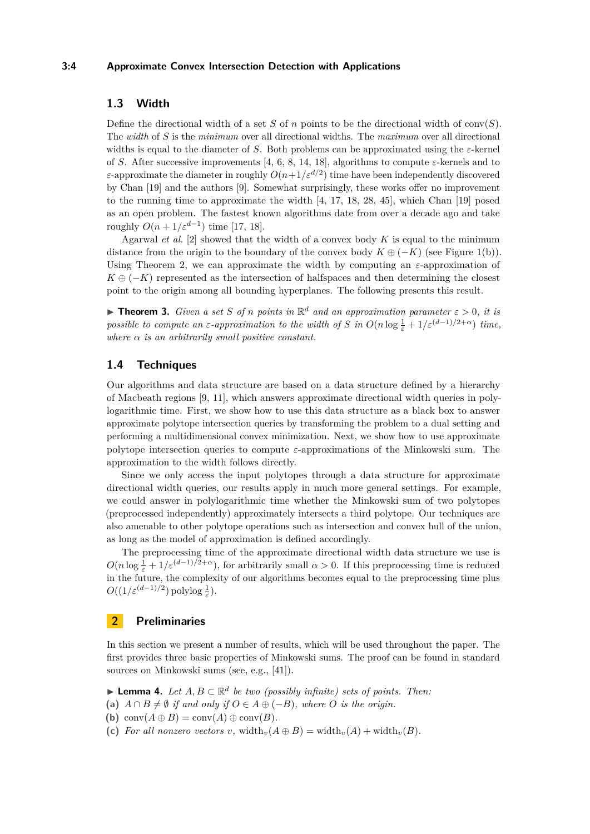## **3:4 Approximate Convex Intersection Detection with Applications**

# **1.3 Width**

Define the directional width of a set *S* of *n* points to be the directional width of conv $(S)$ . The *width* of *S* is the *minimum* over all directional widths. The *maximum* over all directional widths is equal to the diameter of *S*. Both problems can be approximated using the  $\varepsilon$ -kernel of *S*. After successive improvements [\[4,](#page-12-0) [6,](#page-12-16) [8,](#page-12-17) [14,](#page-12-18) [18\]](#page-12-5), algorithms to compute  $\varepsilon$ -kernels and to *ε*-approximate the diameter in roughly  $O(n+1/\varepsilon^{d/2})$  time have been independently discovered by Chan [\[19\]](#page-12-6) and the authors [\[9\]](#page-12-1). Somewhat surprisingly, these works offer no improvement to the running time to approximate the width [\[4,](#page-12-0) [17,](#page-12-19) [18,](#page-12-5) [28,](#page-13-17) [45\]](#page-13-0), which Chan [\[19\]](#page-12-6) posed as an open problem. The fastest known algorithms date from over a decade ago and take roughly  $O(n+1/\varepsilon^{d-1})$  time [\[17,](#page-12-19) [18\]](#page-12-5).

Agarwal *et al.* [\[2\]](#page-11-0) showed that the width of a convex body  $K$  is equal to the minimum distance from the origin to the boundary of the convex body  $K \oplus (-K)$  (see Figure [1\(](#page-2-0)b)). Using Theorem [2,](#page-2-1) we can approximate the width by computing an  $\varepsilon$ -approximation of  $K \oplus (-K)$  represented as the intersection of halfspaces and then determining the closest point to the origin among all bounding hyperplanes. The following presents this result.

<span id="page-3-1"></span>**Findmark 3.** *Given a set S of n points in*  $\mathbb{R}^d$  *and an approximation parameter*  $\varepsilon > 0$ *, it is possible to compute an*  $\varepsilon$ -*approximation to the width of*  $S$  *in*  $O(n \log \frac{1}{\varepsilon} + 1/\varepsilon^{(d-1)/2+\alpha})$  *time, where α is an arbitrarily small positive constant.*

# **1.4 Techniques**

Our algorithms and data structure are based on a data structure defined by a hierarchy of Macbeath regions [\[9,](#page-12-1) [11\]](#page-12-3), which answers approximate directional width queries in polylogarithmic time. First, we show how to use this data structure as a black box to answer approximate polytope intersection queries by transforming the problem to a dual setting and performing a multidimensional convex minimization. Next, we show how to use approximate polytope intersection queries to compute *ε*-approximations of the Minkowski sum. The approximation to the width follows directly.

Since we only access the input polytopes through a data structure for approximate directional width queries, our results apply in much more general settings. For example, we could answer in polylogarithmic time whether the Minkowski sum of two polytopes (preprocessed independently) approximately intersects a third polytope. Our techniques are also amenable to other polytope operations such as intersection and convex hull of the union, as long as the model of approximation is defined accordingly.

The preprocessing time of the approximate directional width data structure we use is  $O(n \log \frac{1}{\varepsilon} + 1/\varepsilon^{(d-1)/2+\alpha})$ , for arbitrarily small  $\alpha > 0$ . If this preprocessing time is reduced in the future, the complexity of our algorithms becomes equal to the preprocessing time plus  $O((1/\varepsilon^{(d-1)/2}) \text{ polylog } \frac{1}{\varepsilon}).$ 

## **2 Preliminaries**

In this section we present a number of results, which will be used throughout the paper. The first provides three basic properties of Minkowski sums. The proof can be found in standard sources on Minkowski sums (see, e.g., [\[41\]](#page-13-18)).

<span id="page-3-0"></span>**► Lemma 4.** Let  $A, B \subset \mathbb{R}^d$  be two (possibly infinite) sets of points. Then:

(a)  $A \cap B \neq \emptyset$  *if and only if*  $O \in A \oplus (-B)$ *, where O is the origin.* 

**(b)** conv $(A \oplus B) = \text{conv}(A) \oplus \text{conv}(B)$ .

(c) For all nonzero vectors v, width<sub>v</sub> $(A \oplus B) = \text{width}_v(A) + \text{width}_v(B)$ .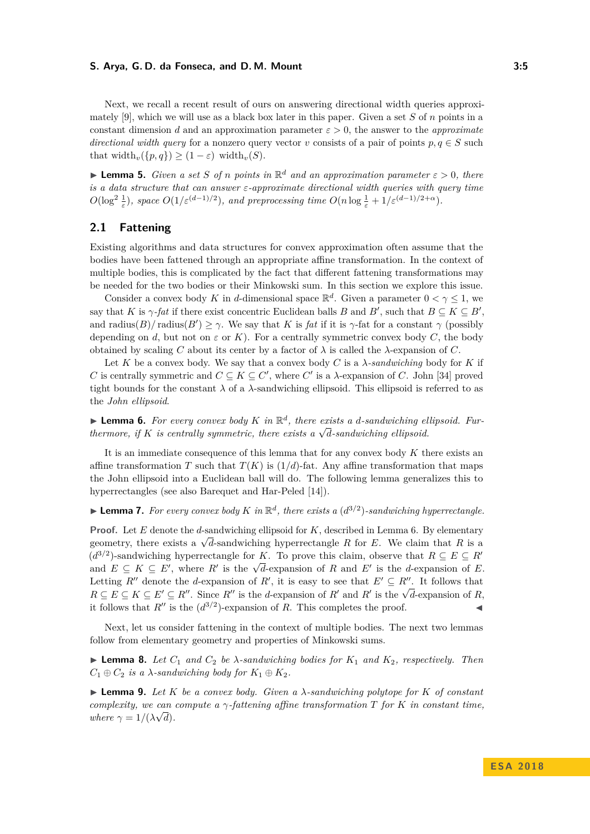Next, we recall a recent result of ours on answering directional width queries approximately [\[9\]](#page-12-1), which we will use as a black box later in this paper. Given a set *S* of *n* points in a constant dimension *d* and an approximation parameter  $\varepsilon > 0$ , the answer to the *approximate directional width query* for a nonzero query vector *v* consists of a pair of points  $p, q \in S$  such that width<sub>*v*</sub>({*p, q*})  $\geq$  (1 – *ε*) width<sub>*v*</sub>(*S*).

<span id="page-4-1"></span>**Lemma 5.** *Given a set S of n points in*  $\mathbb{R}^d$  *and an approximation parameter*  $\varepsilon > 0$ *, there is a data structure that can answer ε-approximate directional width queries with query time*  $O(\log^2 \frac{1}{\varepsilon})$ *, space*  $O(1/\varepsilon^{(d-1)/2})$ *, and preprocessing time*  $O(n \log \frac{1}{\varepsilon} + 1/\varepsilon^{(d-1)/2 + \alpha})$ *.* 

## **2.1 Fattening**

Existing algorithms and data structures for convex approximation often assume that the bodies have been fattened through an appropriate affine transformation. In the context of multiple bodies, this is complicated by the fact that different fattening transformations may be needed for the two bodies or their Minkowski sum. In this section we explore this issue.

Consider a convex body *K* in *d*-dimensional space  $\mathbb{R}^d$ . Given a parameter  $0 < \gamma \leq 1$ , we say that *K* is  $\gamma$ -*fat* if there exist concentric Euclidean balls *B* and *B'*, such that  $B \subseteq K \subseteq B'$ , and radius(*B*)/radius(*B'*)  $\geq \gamma$ . We say that *K* is *fat* if it is  $\gamma$ -fat for a constant  $\gamma$  (possibly depending on *d*, but not on  $\varepsilon$  or *K*). For a centrally symmetric convex body *C*, the body obtained by scaling *C* about its center by a factor of  $\lambda$  is called the  $\lambda$ -expansion of *C*.

Let *K* be a convex body. We say that a convex body *C* is a  $\lambda$ -sandwiching body for *K* if *C* is centrally symmetric and  $C \subseteq K \subseteq C'$ , where  $C'$  is a *λ*-expansion of *C*. John [\[34\]](#page-13-19) proved tight bounds for the constant  $\lambda$  of a  $\lambda$ -sandwiching ellipsoid. This ellipsoid is referred to as the *John ellipsoid*.

<span id="page-4-0"></span>**Example 1.** Lemma 6. For every convex body K in  $\mathbb{R}^d$ , there exists a *d*-sandwiching ellipsoid. Fur*thermore, if <sup>K</sup> is centrally symmetric, there exists a* <sup>√</sup> *d-sandwiching ellipsoid.*

It is an immediate consequence of this lemma that for any convex body *K* there exists an affine transformation *T* such that  $T(K)$  is  $(1/d)$ -fat. Any affine transformation that maps the John ellipsoid into a Euclidean ball will do. The following lemma generalizes this to hyperrectangles (see also Barequet and Har-Peled [\[14\]](#page-12-18)).

# <span id="page-4-2"></span>**Lemma 7.** For every convex body K in  $\mathbb{R}^d$ , there exists a  $(d^{3/2})$ -sandwiching hyperrectangle.

**Proof.** Let *E* denote the *d*-sandwiching ellipsoid for *K*, described in Lemma [6.](#page-4-0) By elementary **Proof.** Let *E* denote the *d*-sandwiching empsoid for *R*, described in Lemma 0. By elementary geometry, there exists a  $\sqrt{d}$ -sandwiching hyperrectangle *R* for *E*. We claim that *R* is a  $(d^{3/2})$ -sandwiching hyperrectangle for *K*. To prove this claim, observe that  $R \subseteq E \subseteq R'$  $(a^{T}$  )-sandwiching hyperrectangle for *K*. To prove this claim, observe that  $R \subseteq E \subseteq R$ <br>and  $E \subseteq K \subseteq E'$ , where *R'* is the  $\sqrt{d}$ -expansion of *R* and *E'* is the *d*-expansion of *E*. Letting  $R''$  denote the *d*-expansion of  $R'$ , it is easy to see that  $E' \subseteq R''$ . It follows that *R* ⊆ *E* ⊆ *K* ⊆ *E'* ⊆ *R''*. Since *R''* is the *d*-expansion of *R'* and *R'* is the √*d*-expansion of *R*, *R* it follows that  $R''$  is the  $(d^{3/2})$ -expansion of *R*. This completes the proof.

Next, let us consider fattening in the context of multiple bodies. The next two lemmas follow from elementary geometry and properties of Minkowski sums.

<span id="page-4-3"></span> $\blacktriangleright$  **Lemma 8.** *Let*  $C_1$  *and*  $C_2$  *be*  $\lambda$ *-sandwiching bodies for*  $K_1$  *and*  $K_2$ *, respectively. Then*  $C_1 \oplus C_2$  *is a*  $\lambda$ *-sandwiching body for*  $K_1 \oplus K_2$ *.* 

<span id="page-4-4"></span> $\blacktriangleright$  **Lemma 9.** Let K be a convex body. Given a  $\lambda$ -sandwiching polytope for K of constant *complexity, we can compute a*  $\gamma$ -fattening affine transformation  $T$  for  $K$  in constant time, *where*  $\gamma = 1/(\lambda \sqrt{d}).$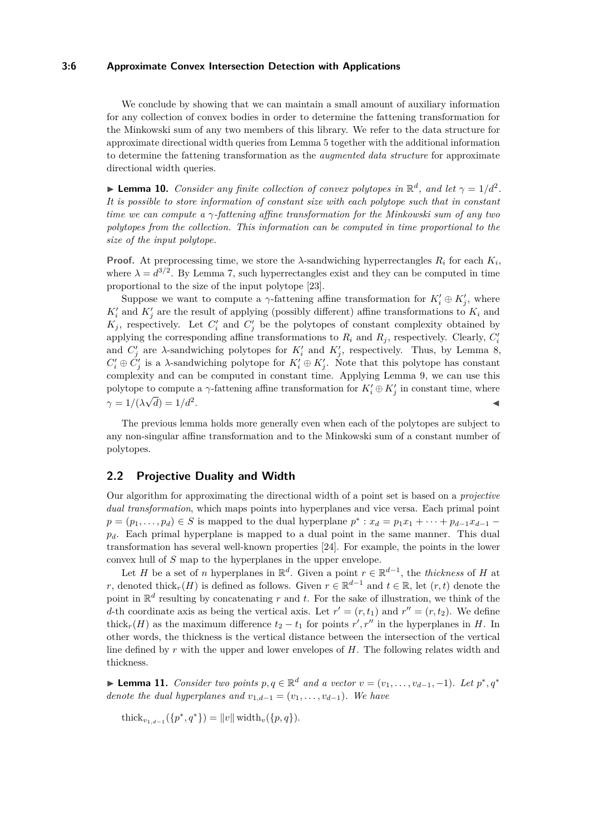## **3:6 Approximate Convex Intersection Detection with Applications**

We conclude by showing that we can maintain a small amount of auxiliary information for any collection of convex bodies in order to determine the fattening transformation for the Minkowski sum of any two members of this library. We refer to the data structure for approximate directional width queries from Lemma [5](#page-4-1) together with the additional information to determine the fattening transformation as the *augmented data structure* for approximate directional width queries.

<span id="page-5-0"></span>**Example 10.** *Consider any finite collection of convex polytopes in*  $\mathbb{R}^d$ , and let  $\gamma = 1/d^2$ . *It is possible to store information of constant size with each polytope such that in constant time we can compute a γ-fattening affine transformation for the Minkowski sum of any two polytopes from the collection. This information can be computed in time proportional to the size of the input polytope.*

**Proof.** At preprocessing time, we store the  $\lambda$ -sandwiching hyperrectangles  $R_i$  for each  $K_i$ , where  $\lambda = d^{3/2}$ . By Lemma [7,](#page-4-2) such hyperrectangles exist and they can be computed in time proportional to the size of the input polytope [\[23\]](#page-12-20).

Suppose we want to compute a  $\gamma$ -fattening affine transformation for  $K_i' \oplus K_j'$ , where  $K_i'$  and  $K_j'$  are the result of applying (possibly different) affine transformations to  $K_i$  and  $K_j$ , respectively. Let  $C'_i$  and  $C'_j$  be the polytopes of constant complexity obtained by applying the corresponding affine transformations to  $R_i$  and  $R_j$ , respectively. Clearly,  $C_i'$ and  $C'_{j}$  are *λ*-sandwiching polytopes for  $K'_{i}$  and  $K'_{j}$ , respectively. Thus, by Lemma [8,](#page-4-3)  $C_i' \oplus C_j'$  is a *λ*-sandwiching polytope for  $K_i' \oplus K_j'$ . Note that this polytope has constant complexity and can be computed in constant time. Applying Lemma [9,](#page-4-4) we can use this polytope to compute a *γ*-fattening affine transformation for  $K_i' \oplus K_j'$  in constant time, where  $\gamma = 1/(\lambda \sqrt{d}) = 1/d^2$ . J

The previous lemma holds more generally even when each of the polytopes are subject to any non-singular affine transformation and to the Minkowski sum of a constant number of polytopes.

# **2.2 Projective Duality and Width**

Our algorithm for approximating the directional width of a point set is based on a *projective dual transformation*, which maps points into hyperplanes and vice versa. Each primal point *p* =  $(p_1, \ldots, p_d)$  ∈ *S* is mapped to the dual hyperplane  $p^*$  :  $x_d = p_1 x_1 + \cdots + p_{d-1} x_{d-1}$  − *pd*. Each primal hyperplane is mapped to a dual point in the same manner. This dual transformation has several well-known properties [\[24\]](#page-12-21). For example, the points in the lower convex hull of *S* map to the hyperplanes in the upper envelope.

Let *H* be a set of *n* hyperplanes in  $\mathbb{R}^d$ . Given a point  $r \in \mathbb{R}^{d-1}$ , the *thickness* of *H* at *r*, denoted thick<sub>*r*</sub>(*H*) is defined as follows. Given  $r \in \mathbb{R}^{d-1}$  and  $t \in \mathbb{R}$ , let  $(r, t)$  denote the point in  $\mathbb{R}^d$  resulting by concatenating *r* and *t*. For the sake of illustration, we think of the *d*-th coordinate axis as being the vertical axis. Let  $r' = (r, t_1)$  and  $r'' = (r, t_2)$ . We define thick<sub>*r*</sub>(*H*) as the maximum difference  $t_2 - t_1$  for points  $r', r''$  in the hyperplanes in *H*. In other words, the thickness is the vertical distance between the intersection of the vertical line defined by *r* with the upper and lower envelopes of *H*. The following relates width and thickness.

<span id="page-5-1"></span>► **Lemma 11.** *Consider two points*  $p, q \in \mathbb{R}^d$  *and a vector*  $v = (v_1, \ldots, v_{d-1}, -1)$ *. Let*  $p^*, q^*$ *denote the dual hyperplanes and*  $v_{1,d-1} = (v_1, \ldots, v_{d-1})$ *. We have* 

thick<sub>*v*1,*d*-1</sub>({ $p^*$ , $q^*$ }) = ||*v*|| width<sub>*v*</sub>({ $p, q$ }).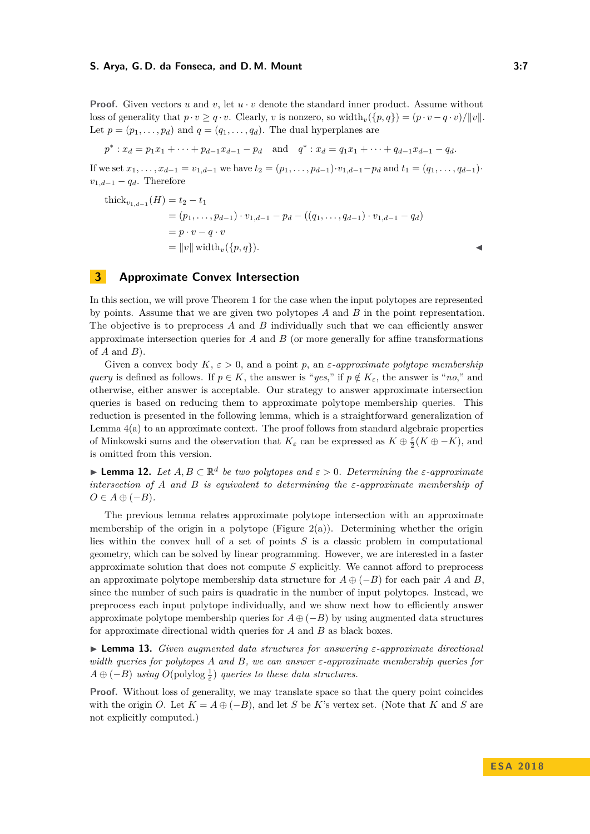**Proof.** Given vectors *u* and *v*, let  $u \cdot v$  denote the standard inner product. Assume without loss of generality that  $p \cdot v \geq q \cdot v$ . Clearly, *v* is nonzero, so width<sub>*v*</sub>({*p, q*}) =  $(p \cdot v - q \cdot v) / ||v||$ . Let  $p = (p_1, \ldots, p_d)$  and  $q = (q_1, \ldots, q_d)$ . The dual hyperplanes are

$$
p^*: x_d = p_1x_1 + \cdots + p_{d-1}x_{d-1} - p_d
$$
 and  $q^*: x_d = q_1x_1 + \cdots + q_{d-1}x_{d-1} - q_d$ .

If we set  $x_1, \ldots, x_{d-1} = v_{1,d-1}$  we have  $t_2 = (p_1, \ldots, p_{d-1}) \cdot v_{1,d-1} - p_d$  and  $t_1 = (q_1, \ldots, q_{d-1}) \cdot$  $v_{1,d-1} - q_d$ . Therefore

\n
$$
\text{thick}_{v_{1,d-1}}(H) = t_2 - t_1
$$
\n $= (p_1, \ldots, p_{d-1}) \cdot v_{1,d-1} - p_d - ((q_1, \ldots, q_{d-1}) \cdot v_{1,d-1} - q_d)$ \n $= p \cdot v - q \cdot v$ \n $= \|v\| \text{width}_v({p, q}).$ \n

## <span id="page-6-1"></span>**3 Approximate Convex Intersection**

In this section, we will prove Theorem [1](#page-2-2) for the case when the input polytopes are represented by points. Assume that we are given two polytopes *A* and *B* in the point representation. The objective is to preprocess *A* and *B* individually such that we can efficiently answer approximate intersection queries for *A* and *B* (or more generally for affine transformations of  $A$  and  $B$ ).

Given a convex body  $K, \varepsilon > 0$ , and a point p, an  $\varepsilon$ -approximate polytope membership *query* is defined as follows. If  $p \in K$ , the answer is "*yes*," if  $p \notin K_{\varepsilon}$ , the answer is "*no*," and otherwise, either answer is acceptable. Our strategy to answer approximate intersection queries is based on reducing them to approximate polytope membership queries. This reduction is presented in the following lemma, which is a straightforward generalization of Lemma  $4(a)$  to an approximate context. The proof follows from standard algebraic properties of Minkowski sums and the observation that  $K_{\varepsilon}$  can be expressed as  $K \oplus \frac{\varepsilon}{2}(K \oplus -K)$ , and is omitted from this version.

**► Lemma 12.** Let  $A, B \subset \mathbb{R}^d$  be two polytopes and  $\varepsilon > 0$ . Determining the  $\varepsilon$ -approximate *intersection of A and B is equivalent to determining the*  $\varepsilon$ -*approximate membership of O* ∈ *A* ⊕ (−*B*).

The previous lemma relates approximate polytope intersection with an approximate membership of the origin in a polytope (Figure [2\(](#page-7-0)a)). Determining whether the origin lies within the convex hull of a set of points *S* is a classic problem in computational geometry, which can be solved by linear programming. However, we are interested in a faster approximate solution that does not compute *S* explicitly. We cannot afford to preprocess an approximate polytope membership data structure for  $A \oplus (-B)$  for each pair *A* and *B*, since the number of such pairs is quadratic in the number of input polytopes. Instead, we preprocess each input polytope individually, and we show next how to efficiently answer approximate polytope membership queries for  $A \oplus (-B)$  by using augmented data structures for approximate directional width queries for *A* and *B* as black boxes.

<span id="page-6-0"></span>I **Lemma 13.** *Given augmented data structures for answering ε-approximate directional width queries for polytopes A and B, we can answer ε-approximate membership queries for*  $A \oplus (-B)$  *using*  $O(\text{polylog} \frac{1}{\varepsilon})$  *queries to these data structures.* 

**Proof.** Without loss of generality, we may translate space so that the query point coincides with the origin *O*. Let  $K = A \oplus (-B)$ , and let *S* be *K*'s vertex set. (Note that *K* and *S* are not explicitly computed.)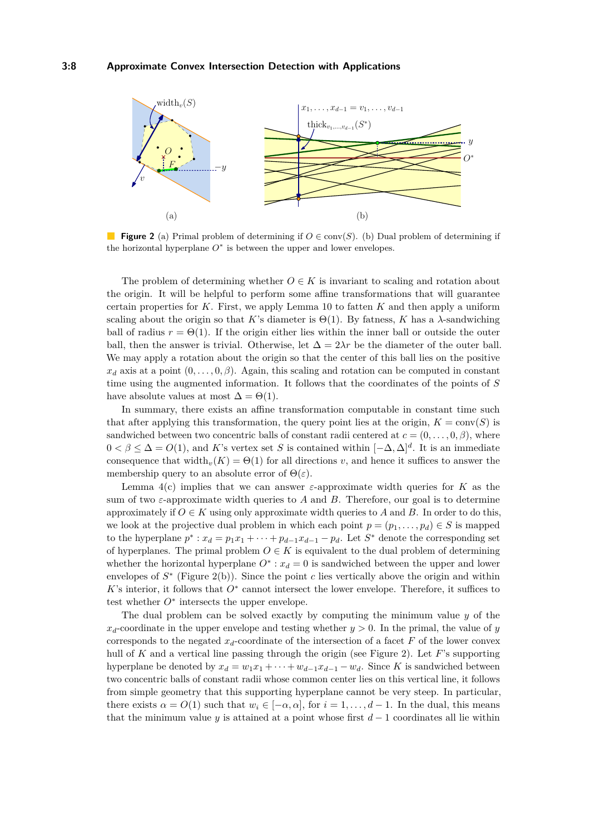## **3:8 Approximate Convex Intersection Detection with Applications**

<span id="page-7-0"></span>

**Figure 2** (a) Primal problem of determining if *O* ∈ conv(*S*). (b) Dual problem of determining if the horizontal hyperplane  $O^*$  is between the upper and lower envelopes.

The problem of determining whether  $O \in K$  is invariant to scaling and rotation about the origin. It will be helpful to perform some affine transformations that will guarantee certain properties for *K*. First, we apply Lemma [10](#page-5-0) to fatten *K* and then apply a uniform scaling about the origin so that *K*'s diameter is  $\Theta(1)$ . By fatness, *K* has a *λ*-sandwiching ball of radius  $r = \Theta(1)$ . If the origin either lies within the inner ball or outside the outer ball, then the answer is trivial. Otherwise, let  $\Delta = 2\lambda r$  be the diameter of the outer ball. We may apply a rotation about the origin so that the center of this ball lies on the positive  $x_d$  axis at a point  $(0, \ldots, 0, \beta)$ . Again, this scaling and rotation can be computed in constant time using the augmented information. It follows that the coordinates of the points of *S* have absolute values at most  $\Delta = \Theta(1)$ .

In summary, there exists an affine transformation computable in constant time such that after applying this transformation, the query point lies at the origin,  $K = \text{conv}(S)$  is sandwiched between two concentric balls of constant radii centered at  $c = (0, \ldots, 0, \beta)$ , where  $0 < \beta \leq \Delta = O(1)$ , and K's vertex set S is contained within  $[-\Delta, \Delta]^d$ . It is an immediate consequence that width<sub>*v*</sub>( $K$ ) =  $\Theta(1)$  for all directions *v*, and hence it suffices to answer the membership query to an absolute error of  $\Theta(\varepsilon)$ .

Lemma  $4(c)$  implies that we can answer  $\varepsilon$ -approximate width queries for *K* as the sum of two  $\varepsilon$ -approximate width queries to A and B. Therefore, our goal is to determine approximately if  $O \in K$  using only approximate width queries to *A* and *B*. In order to do this, we look at the projective dual problem in which each point  $p = (p_1, \ldots, p_d) \in S$  is mapped to the hyperplane  $p^*$ :  $x_d = p_1x_1 + \cdots + p_{d-1}x_{d-1} - p_d$ . Let  $S^*$  denote the corresponding set of hyperplanes. The primal problem  $O \in K$  is equivalent to the dual problem of determining whether the horizontal hyperplane  $O^*$ :  $x_d = 0$  is sandwiched between the upper and lower envelopes of  $S^*$  (Figure [2\(](#page-7-0)b)). Since the point *c* lies vertically above the origin and within *K*'s interior, it follows that *O*<sup>∗</sup> cannot intersect the lower envelope. Therefore, it suffices to test whether *O*<sup>∗</sup> intersects the upper envelope.

The dual problem can be solved exactly by computing the minimum value *y* of the  $x_d$ -coordinate in the upper envelope and testing whether  $y > 0$ . In the primal, the value of *y* corresponds to the negated  $x_d$ -coordinate of the intersection of a facet  $F$  of the lower convex hull of *K* and a vertical line passing through the origin (see Figure [2\)](#page-7-0). Let *F*'s supporting hyperplane be denoted by  $x_d = w_1 x_1 + \cdots + w_{d-1} x_{d-1} - w_d$ . Since *K* is sandwiched between two concentric balls of constant radii whose common center lies on this vertical line, it follows from simple geometry that this supporting hyperplane cannot be very steep. In particular, there exists  $\alpha = O(1)$  such that  $w_i \in [-\alpha, \alpha]$ , for  $i = 1, \ldots, d-1$ . In the dual, this means that the minimum value *y* is attained at a point whose first *d* − 1 coordinates all lie within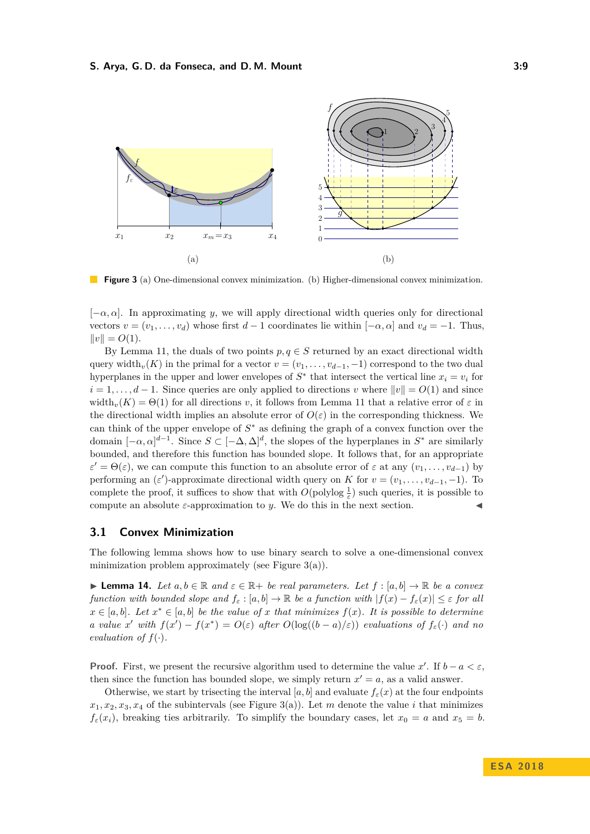<span id="page-8-0"></span>

**Figure 3** (a) One-dimensional convex minimization. (b) Higher-dimensional convex minimization.

 $[-\alpha, \alpha]$ . In approximating *y*, we will apply directional width queries only for directional vectors  $v = (v_1, \ldots, v_d)$  whose first  $d-1$  coordinates lie within  $[-\alpha, \alpha]$  and  $v_d = -1$ . Thus,  $||v|| = O(1).$ 

By Lemma [11,](#page-5-1) the duals of two points  $p, q \in S$  returned by an exact directional width query width<sub>*v*</sub>(*K*) in the primal for a vector  $v = (v_1, \ldots, v_{d-1}, -1)$  correspond to the two dual hyperplanes in the upper and lower envelopes of  $S^*$  that intersect the vertical line  $x_i = v_i$  for  $i = 1, \ldots, d - 1$ . Since queries are only applied to directions *v* where  $||v|| = O(1)$  and since width<sub>*v*</sub>( $K$ ) =  $\Theta(1)$  for all directions *v*, it follows from Lemma [11](#page-5-1) that a relative error of  $\varepsilon$  in the directional width implies an absolute error of  $O(\varepsilon)$  in the corresponding thickness. We can think of the upper envelope of *S* <sup>∗</sup> as defining the graph of a convex function over the domain  $[-\alpha, \alpha]^{d-1}$ . Since  $S \subset [-\Delta, \Delta]^d$ , the slopes of the hyperplanes in  $S^*$  are similarly bounded, and therefore this function has bounded slope. It follows that, for an appropriate  $\varepsilon' = \Theta(\varepsilon)$ , we can compute this function to an absolute error of  $\varepsilon$  at any  $(v_1, \ldots, v_{d-1})$  by performing an  $(\varepsilon')$ -approximate directional width query on *K* for  $v = (v_1, \ldots, v_{d-1}, -1)$ . To complete the proof, it suffices to show that with  $O(poly \log \frac{1}{\varepsilon})$  such queries, it is possible to compute an absolute  $\varepsilon$ -approximation to *y*. We do this in the next section.

## **3.1 Convex Minimization**

The following lemma shows how to use binary search to solve a one-dimensional convex minimization problem approximately (see Figure  $3(a)$ ).

<span id="page-8-1"></span>**► Lemma 14.** Let  $a, b \in \mathbb{R}$  and  $\varepsilon \in \mathbb{R}$ + *be real parameters.* Let  $f : [a, b] \to \mathbb{R}$  *be a convex function with bounded slope and*  $f_{\varepsilon} : [a, b] \to \mathbb{R}$  *be a function with*  $|f(x) - f_{\varepsilon}(x)| \leq \varepsilon$  *for all*  $x \in [a, b]$ *. Let*  $x^* \in [a, b]$  *be the value of x that minimizes*  $f(x)$ *. It is possible to determine a value x'* with  $f(x') - f(x^*) = O(\varepsilon)$  *after*  $O(\log((b-a)/\varepsilon))$  *evaluations of*  $f_{\varepsilon}(\cdot)$  *and no evaluation of*  $f(\cdot)$ *.* 

**Proof.** First, we present the recursive algorithm used to determine the value  $x'$ . If  $b - a < \varepsilon$ , then since the function has bounded slope, we simply return  $x' = a$ , as a valid answer.

Otherwise, we start by trisecting the interval [*a, b*] and evaluate  $f_{\varepsilon}(x)$  at the four endpoints  $x_1, x_2, x_3, x_4$  of the subintervals (see Figure [3\(](#page-8-0)a)). Let *m* denote the value *i* that minimizes  $f_{\varepsilon}(x_i)$ , breaking ties arbitrarily. To simplify the boundary cases, let  $x_0 = a$  and  $x_5 = b$ .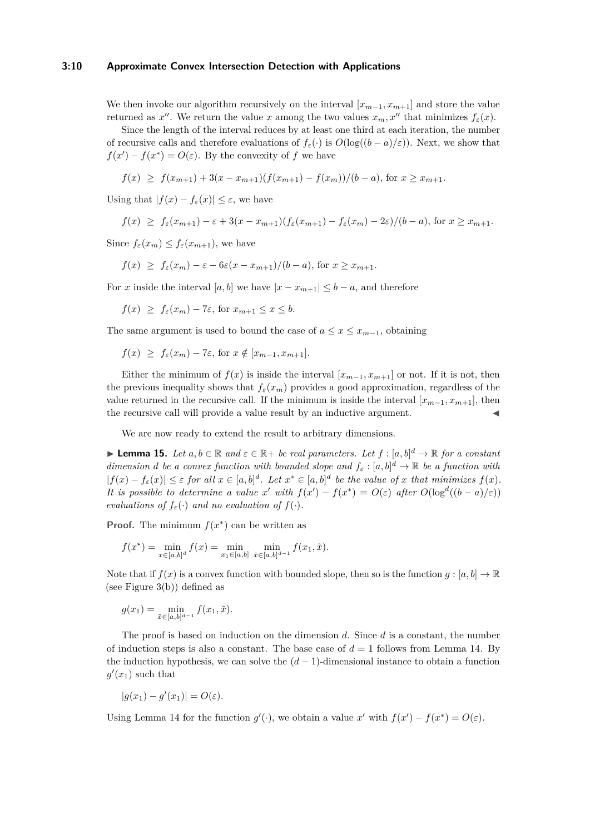#### **3:10 Approximate Convex Intersection Detection with Applications**

We then invoke our algorithm recursively on the interval  $[x_{m-1}, x_{m+1}]$  and store the value returned as x''. We return the value x among the two values  $x_m, x''$  that minimizes  $f_{\varepsilon}(x)$ .

Since the length of the interval reduces by at least one third at each iteration, the number of recursive calls and therefore evaluations of  $f_{\varepsilon}(\cdot)$  is  $O(\log((b-a)/\varepsilon))$ . Next, we show that  $f(x') - f(x^*) = O(\varepsilon)$ . By the convexity of *f* we have

$$
f(x) \geq f(x_{m+1}) + 3(x - x_{m+1})(f(x_{m+1}) - f(x_m))/(b - a),
$$
 for  $x \geq x_{m+1}$ .

Using that  $|f(x) - f_{\varepsilon}(x)| \leq \varepsilon$ , we have

$$
f(x) \ge f_{\varepsilon}(x_{m+1}) - \varepsilon + 3(x - x_{m+1})(f_{\varepsilon}(x_{m+1}) - f_{\varepsilon}(x_m) - 2\varepsilon)/(b - a), \text{ for } x \ge x_{m+1}.
$$

Since  $f_{\varepsilon}(x_m) \leq f_{\varepsilon}(x_{m+1})$ , we have

$$
f(x) \ge f_{\varepsilon}(x_m) - \varepsilon - 6\varepsilon(x - x_{m+1})/(b - a)
$$
, for  $x \ge x_{m+1}$ .

For *x* inside the interval [*a, b*] we have  $|x - x_{m+1}| \leq b - a$ , and therefore

$$
f(x) \ge f_{\varepsilon}(x_m) - 7\varepsilon
$$
, for  $x_{m+1} \le x \le b$ .

The same argument is used to bound the case of  $a \leq x \leq x_{m-1}$ , obtaining

$$
f(x) \geq f_{\varepsilon}(x_m) - 7\varepsilon
$$
, for  $x \notin [x_{m-1}, x_{m+1}].$ 

Either the minimum of  $f(x)$  is inside the interval  $[x_{m-1}, x_{m+1}]$  or not. If it is not, then the previous inequality shows that  $f_{\varepsilon}(x_m)$  provides a good approximation, regardless of the value returned in the recursive call. If the minimum is inside the interval  $[x_{m-1}, x_{m+1}]$ , then the recursive call will provide a value result by an inductive argument.

We are now ready to extend the result to arbitrary dimensions.

<span id="page-9-0"></span>**► Lemma 15.** *Let*  $a, b \in \mathbb{R}$  *and*  $\varepsilon \in \mathbb{R}$ + *be real parameters. Let*  $f : [a, b]^d \to \mathbb{R}$  *for a constant dimension d be a convex function with bounded slope and*  $f_{\varepsilon}$  :  $[a, b]^d \to \mathbb{R}$  *be a function with*  $|f(x) - f_{\varepsilon}(x)| \leq \varepsilon$  for all  $x \in [a, b]^d$ . Let  $x^* \in [a, b]^d$  be the value of x that minimizes  $f(x)$ . *It is possible to determine a value x'* with  $f(x') - f(x^*) = O(\varepsilon)$  after  $O(\log^d((b-a)/\varepsilon))$ *evaluations of*  $f_{\varepsilon}(\cdot)$  *and no evaluation of*  $f(\cdot)$ *.* 

**Proof.** The minimum  $f(x^*)$  can be written as

$$
f(x^*) = \min_{x \in [a,b]^d} f(x) = \min_{x_1 \in [a,b]} \min_{\tilde{x} \in [a,b]^{d-1}} f(x_1, \tilde{x}).
$$

Note that if  $f(x)$  is a convex function with bounded slope, then so is the function  $g : [a, b] \to \mathbb{R}$ (see Figure [3\(](#page-8-0)b)) defined as

$$
g(x_1) = \min_{\tilde{x} \in [a,b]^{d-1}} f(x_1, \tilde{x}).
$$

The proof is based on induction on the dimension *d*. Since *d* is a constant, the number of induction steps is also a constant. The base case of  $d = 1$  follows from Lemma [14.](#page-8-1) By the induction hypothesis, we can solve the  $(d-1)$ -dimensional instance to obtain a function  $g'(x_1)$  such that

$$
|g(x_1) - g'(x_1)| = O(\varepsilon).
$$

Using Lemma [14](#page-8-1) for the function  $g'(\cdot)$ , we obtain a value x' with  $f(x') - f(x^*) = O(\varepsilon)$ .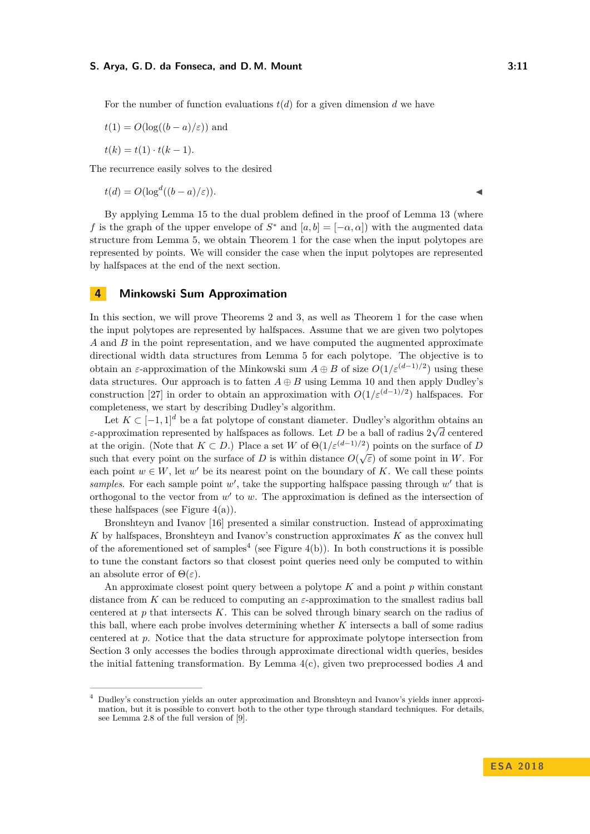For the number of function evaluations  $t(d)$  for a given dimension  $d$  we have

$$
t(1) = O(\log((b - a)/\varepsilon))
$$
 and

$$
t(k) = t(1) \cdot t(k-1).
$$

The recurrence easily solves to the desired

$$
t(d) = O(\log^d((b-a)/\varepsilon)).
$$

By applying Lemma [15](#page-9-0) to the dual problem defined in the proof of Lemma [13](#page-6-0) (where *f* is the graph of the upper envelope of  $S^*$  and  $[a, b] = [-\alpha, \alpha]$  with the augmented data structure from Lemma [5,](#page-4-1) we obtain Theorem [1](#page-2-2) for the case when the input polytopes are represented by points. We will consider the case when the input polytopes are represented by halfspaces at the end of the next section.

## **4 Minkowski Sum Approximation**

In this section, we will prove Theorems [2](#page-2-1) and [3,](#page-3-1) as well as Theorem [1](#page-2-2) for the case when the input polytopes are represented by halfspaces. Assume that we are given two polytopes *A* and *B* in the point representation, and we have computed the augmented approximate directional width data structures from Lemma [5](#page-4-1) for each polytope. The objective is to obtain an *ε*-approximation of the Minkowski sum *A* ⊕ *B* of size *O*(1*/ε*(*d*−1)*/*<sup>2</sup> ) using these data structures. Our approach is to fatten  $A \oplus B$  using Lemma [10](#page-5-0) and then apply Dudley's construction [\[27\]](#page-13-20) in order to obtain an approximation with  $O(1/\varepsilon^{(d-1)/2})$  halfspaces. For completeness, we start by describing Dudley's algorithm.

Let  $K \subset [-1,1]^d$  be a fat polytope of constant diameter. Dudley's algorithm obtains an *ε*-approximation represented by halfspaces as follows. Let *D* be a ball of radius  $2\sqrt{d}$  centered at the origin. (Note that  $K \subset D$ .) Place a set  $W$  of  $\Theta(1/\varepsilon^{(d-1)/2})$  points on the surface of  $D$ such that every point on the surface of *D* is within distance  $O(\sqrt{\varepsilon})$  of some point in *W*. For each point  $w \in W$ , let  $w'$  be its nearest point on the boundary of K. We call these points samples. For each sample point  $w'$ , take the supporting halfspace passing through  $w'$  that is orthogonal to the vector from  $w'$  to  $w$ . The approximation is defined as the intersection of these halfspaces (see Figure  $4(a)$ ).

Bronshteyn and Ivanov [\[16\]](#page-12-22) presented a similar construction. Instead of approximating *K* by halfspaces, Bronshteyn and Ivanov's construction approximates *K* as the convex hull of the aforementioned set of samples<sup>[4](#page-10-0)</sup> (see Figure [4\(](#page-11-2)b)). In both constructions it is possible to tune the constant factors so that closest point queries need only be computed to within an absolute error of  $\Theta(\varepsilon)$ .

An approximate closest point query between a polytope *K* and a point *p* within constant distance from *K* can be reduced to computing an  $\varepsilon$ -approximation to the smallest radius ball centered at *p* that intersects *K*. This can be solved through binary search on the radius of this ball, where each probe involves determining whether *K* intersects a ball of some radius centered at *p*. Notice that the data structure for approximate polytope intersection from Section [3](#page-6-1) only accesses the bodies through approximate directional width queries, besides the initial fattening transformation. By Lemma [4\(](#page-3-0)c), given two preprocessed bodies *A* and

<span id="page-10-0"></span><sup>4</sup> Dudley's construction yields an outer approximation and Bronshteyn and Ivanov's yields inner approximation, but it is possible to convert both to the other type through standard techniques. For details, see Lemma 2.8 of the full version of [\[9\]](#page-12-1).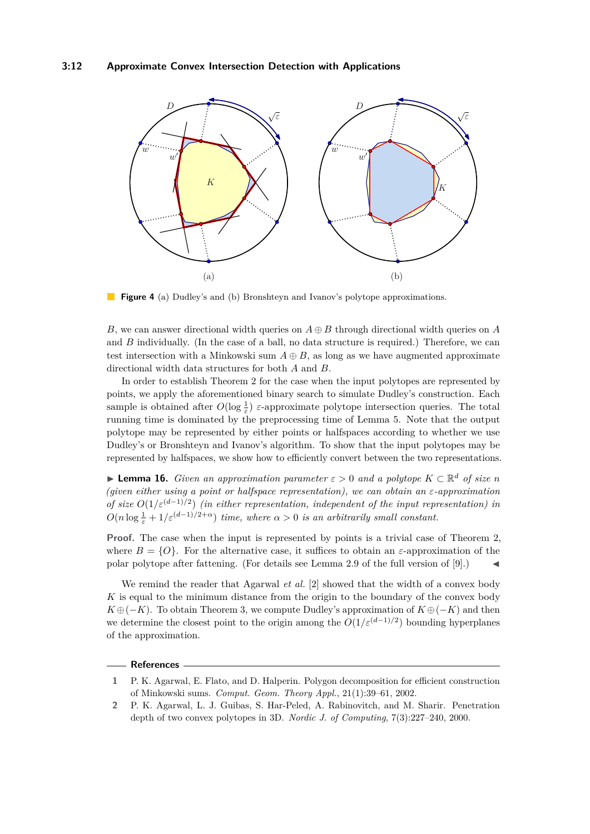## **3:12 Approximate Convex Intersection Detection with Applications**

<span id="page-11-2"></span>

**Figure 4** (a) Dudley's and (b) Bronshteyn and Ivanov's polytope approximations.

*B*, we can answer directional width queries on  $A \oplus B$  through directional width queries on *A* and *B* individually. (In the case of a ball, no data structure is required.) Therefore, we can test intersection with a Minkowski sum  $A \oplus B$ , as long as we have augmented approximate directional width data structures for both *A* and *B*.

In order to establish Theorem [2](#page-2-1) for the case when the input polytopes are represented by points, we apply the aforementioned binary search to simulate Dudley's construction. Each sample is obtained after  $O(\log \frac{1}{\varepsilon})$  *ε*-approximate polytope intersection queries. The total running time is dominated by the preprocessing time of Lemma [5.](#page-4-1) Note that the output polytope may be represented by either points or halfspaces according to whether we use Dudley's or Bronshteyn and Ivanov's algorithm. To show that the input polytopes may be represented by halfspaces, we show how to efficiently convert between the two representations.

**► Lemma 16.** *Given an approximation parameter*  $\varepsilon > 0$  *and a polytope*  $K \subset \mathbb{R}^d$  *of size n (given either using a point or halfspace representation), we can obtain an ε-approximation of size*  $O(1/\varepsilon^{(d-1)/2})$  *(in either representation, independent of the input representation) in*  $O(n \log \frac{1}{\varepsilon} + 1/\varepsilon^{(d-1)/2 + \alpha})$  *time, where*  $\alpha > 0$  *is an arbitrarily small constant.* 

**Proof.** The case when the input is represented by points is a trivial case of Theorem [2,](#page-2-1) where  $B = \{O\}$ . For the alternative case, it suffices to obtain an  $\varepsilon$ -approximation of the polar polytope after fattening. (For details see Lemma 2.9 of the full version of  $[9]$ .)

We remind the reader that Agarwal *et al.* [\[2\]](#page-11-0) showed that the width of a convex body *K* is equal to the minimum distance from the origin to the boundary of the convex body  $K \oplus (-K)$ . To obtain Theorem [3,](#page-3-1) we compute Dudley's approximation of  $K \oplus (-K)$  and then we determine the closest point to the origin among the  $O(1/\varepsilon^{(d-1)/2})$  bounding hyperplanes of the approximation.

## **References**

<span id="page-11-1"></span>**<sup>1</sup>** P. K. Agarwal, E. Flato, and D. Halperin. Polygon decomposition for efficient construction of Minkowski sums. *Comput. Geom. Theory Appl.*, 21(1):39–61, 2002.

<span id="page-11-0"></span>**<sup>2</sup>** P. K. Agarwal, L. J. Guibas, S. Har-Peled, A. Rabinovitch, and M. Sharir. Penetration depth of two convex polytopes in 3D. *Nordic J. of Computing*, 7(3):227–240, 2000.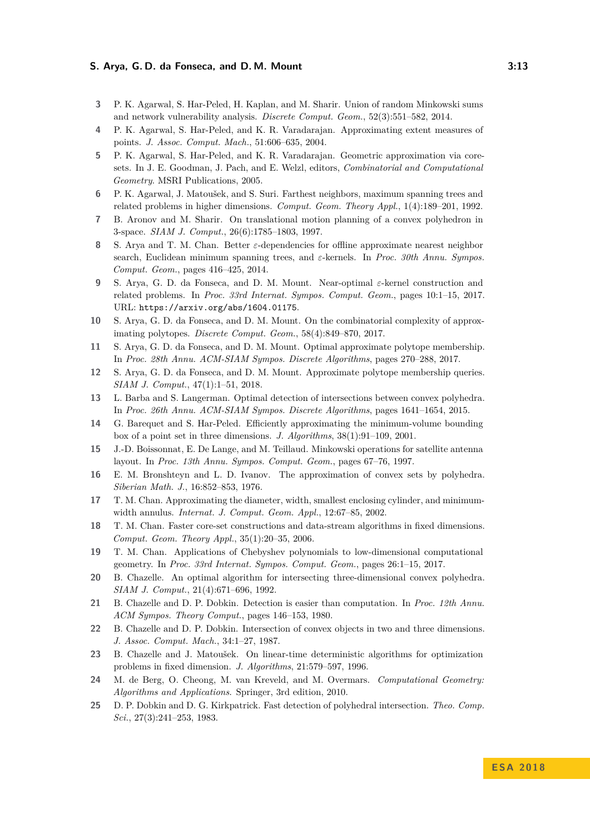- <span id="page-12-15"></span>**3** P. K. Agarwal, S. Har-Peled, H. Kaplan, and M. Sharir. Union of random Minkowski sums and network vulnerability analysis. *Discrete Comput. Geom.*, 52(3):551–582, 2014.
- <span id="page-12-0"></span>**4** P. K. Agarwal, S. Har-Peled, and K. R. Varadarajan. Approximating extent measures of points. *J. Assoc. Comput. Mach.*, 51:606–635, 2004.
- <span id="page-12-12"></span>**5** P. K. Agarwal, S. Har-Peled, and K. R. Varadarajan. Geometric approximation via coresets. In J. E. Goodman, J. Pach, and E. Welzl, editors, *Combinatorial and Computational Geometry*. MSRI Publications, 2005.
- <span id="page-12-16"></span>**6** P. K. Agarwal, J. Matoušek, and S. Suri. Farthest neighbors, maximum spanning trees and related problems in higher dimensions. *Comput. Geom. Theory Appl.*, 1(4):189–201, 1992.
- <span id="page-12-13"></span>**7** B. Aronov and M. Sharir. On translational motion planning of a convex polyhedron in 3-space. *SIAM J. Comput.*, 26(6):1785–1803, 1997.
- <span id="page-12-17"></span>**8** S. Arya and T. M. Chan. Better *ε*-dependencies for offline approximate nearest neighbor search, Euclidean minimum spanning trees, and *ε*-kernels. In *Proc. 30th Annu. Sympos. Comput. Geom.*, pages 416–425, 2014.
- <span id="page-12-1"></span>**9** S. Arya, G. D. da Fonseca, and D. M. Mount. Near-optimal *ε*-kernel construction and related problems. In *Proc. 33rd Internat. Sympos. Comput. Geom.*, pages 10:1–15, 2017. URL: <https://arxiv.org/abs/1604.01175>.
- <span id="page-12-2"></span>**10** S. Arya, G. D. da Fonseca, and D. M. Mount. On the combinatorial complexity of approximating polytopes. *Discrete Comput. Geom.*, 58(4):849–870, 2017.
- <span id="page-12-3"></span>**11** S. Arya, G. D. da Fonseca, and D. M. Mount. Optimal approximate polytope membership. In *Proc. 28th Annu. ACM-SIAM Sympos. Discrete Algorithms*, pages 270–288, 2017.
- <span id="page-12-4"></span>**12** S. Arya, G. D. da Fonseca, and D. M. Mount. Approximate polytope membership queries. *SIAM J. Comput.*, 47(1):1–51, 2018.
- <span id="page-12-7"></span>**13** L. Barba and S. Langerman. Optimal detection of intersections between convex polyhedra. In *Proc. 26th Annu. ACM-SIAM Sympos. Discrete Algorithms*, pages 1641–1654, 2015.
- <span id="page-12-18"></span>**14** G. Barequet and S. Har-Peled. Efficiently approximating the minimum-volume bounding box of a point set in three dimensions. *J. Algorithms*, 38(1):91–109, 2001.
- <span id="page-12-14"></span>**15** J.-D. Boissonnat, E. De Lange, and M. Teillaud. Minkowski operations for satellite antenna layout. In *Proc. 13th Annu. Sympos. Comput. Geom.*, pages 67–76, 1997.
- <span id="page-12-22"></span>**16** E. M. Bronshteyn and L. D. Ivanov. The approximation of convex sets by polyhedra. *Siberian Math. J.*, 16:852–853, 1976.
- <span id="page-12-19"></span>**17** T. M. Chan. Approximating the diameter, width, smallest enclosing cylinder, and minimumwidth annulus. *Internat. J. Comput. Geom. Appl.*, 12:67–85, 2002.
- <span id="page-12-5"></span>**18** T. M. Chan. Faster core-set constructions and data-stream algorithms in fixed dimensions. *Comput. Geom. Theory Appl.*, 35(1):20–35, 2006.
- <span id="page-12-6"></span>**19** T. M. Chan. Applications of Chebyshev polynomials to low-dimensional computational geometry. In *Proc. 33rd Internat. Sympos. Comput. Geom.*, pages 26:1–15, 2017.
- <span id="page-12-8"></span>**20** B. Chazelle. An optimal algorithm for intersecting three-dimensional convex polyhedra. *SIAM J. Comput.*, 21(4):671–696, 1992.
- <span id="page-12-9"></span>**21** B. Chazelle and D. P. Dobkin. Detection is easier than computation. In *Proc. 12th Annu. ACM Sympos. Theory Comput.*, pages 146–153, 1980.
- <span id="page-12-10"></span>**22** B. Chazelle and D. P. Dobkin. Intersection of convex objects in two and three dimensions. *J. Assoc. Comput. Mach.*, 34:1–27, 1987.
- <span id="page-12-20"></span>**23** B. Chazelle and J. Matoušek. On linear-time deterministic algorithms for optimization problems in fixed dimension. *J. Algorithms*, 21:579–597, 1996.
- <span id="page-12-21"></span>**24** M. de Berg, O. Cheong, M. van Kreveld, and M. Overmars. *Computational Geometry: Algorithms and Applications*. Springer, 3rd edition, 2010.
- <span id="page-12-11"></span>**25** D. P. Dobkin and D. G. Kirkpatrick. Fast detection of polyhedral intersection. *Theo. Comp. Sci.*, 27(3):241–253, 1983.